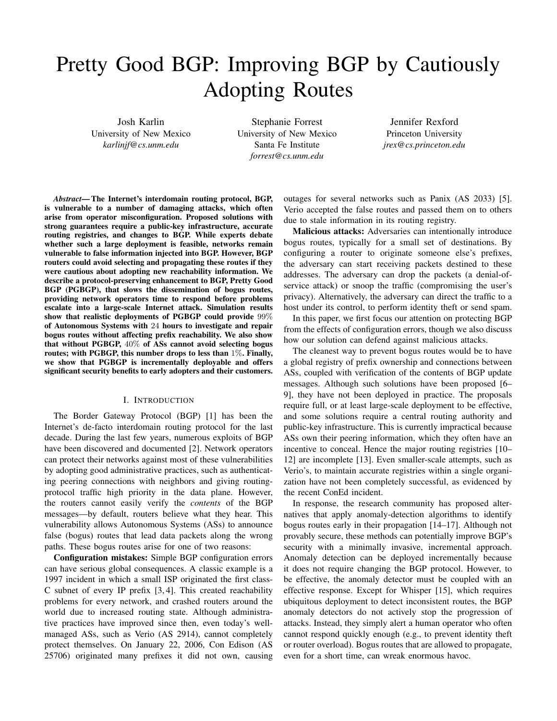# Pretty Good BGP: Improving BGP by Cautiously Adopting Routes

Josh Karlin University of New Mexico *karlinjf@cs.unm.edu*

Stephanie Forrest University of New Mexico Santa Fe Institute *forrest@cs.unm.edu*

Jennifer Rexford Princeton University *jrex@cs.princeton.edu*

*Abstract*— The Internet's interdomain routing protocol, BGP, is vulnerable to a number of damaging attacks, which often arise from operator misconfiguration. Proposed solutions with strong guarantees require a public-key infrastructure, accurate routing registries, and changes to BGP. While experts debate whether such a large deployment is feasible, networks remain vulnerable to false information injected into BGP. However, BGP routers could avoid selecting and propagating these routes if they were cautious about adopting new reachability information. We describe a protocol-preserving enhancement to BGP, Pretty Good BGP (PGBGP), that slows the dissemination of bogus routes, providing network operators time to respond before problems escalate into a large-scale Internet attack. Simulation results show that realistic deployments of PGBGP could provide 99% of Autonomous Systems with 24 hours to investigate and repair bogus routes without affecting prefix reachability. We also show that without PGBGP, 40% of ASs cannot avoid selecting bogus routes; with PGBGP, this number drops to less than 1%. Finally, we show that PGBGP is incrementally deployable and offers significant security benefits to early adopters and their customers.

# I. INTRODUCTION

The Border Gateway Protocol (BGP) [1] has been the Internet's de-facto interdomain routing protocol for the last decade. During the last few years, numerous exploits of BGP have been discovered and documented [2]. Network operators can protect their networks against most of these vulnerabilities by adopting good administrative practices, such as authenticating peering connections with neighbors and giving routingprotocol traffic high priority in the data plane. However, the routers cannot easily verify the *contents* of the BGP messages—by default, routers believe what they hear. This vulnerability allows Autonomous Systems (ASs) to announce false (bogus) routes that lead data packets along the wrong paths. These bogus routes arise for one of two reasons:

Configuration mistakes: Simple BGP configuration errors can have serious global consequences. A classic example is a 1997 incident in which a small ISP originated the first class-C subnet of every IP prefix [3, 4]. This created reachability problems for every network, and crashed routers around the world due to increased routing state. Although administrative practices have improved since then, even today's wellmanaged ASs, such as Verio (AS 2914), cannot completely protect themselves. On January 22, 2006, Con Edison (AS 25706) originated many prefixes it did not own, causing outages for several networks such as Panix (AS 2033) [5]. Verio accepted the false routes and passed them on to others due to stale information in its routing registry.

Malicious attacks: Adversaries can intentionally introduce bogus routes, typically for a small set of destinations. By configuring a router to originate someone else's prefixes, the adversary can start receiving packets destined to these addresses. The adversary can drop the packets (a denial-ofservice attack) or snoop the traffic (compromising the user's privacy). Alternatively, the adversary can direct the traffic to a host under its control, to perform identity theft or send spam.

In this paper, we first focus our attention on protecting BGP from the effects of configuration errors, though we also discuss how our solution can defend against malicious attacks.

The cleanest way to prevent bogus routes would be to have a global registry of prefix ownership and connections between ASs, coupled with verification of the contents of BGP update messages. Although such solutions have been proposed [6– 9], they have not been deployed in practice. The proposals require full, or at least large-scale deployment to be effective, and some solutions require a central routing authority and public-key infrastructure. This is currently impractical because ASs own their peering information, which they often have an incentive to conceal. Hence the major routing registries [10– 12] are incomplete [13]. Even smaller-scale attempts, such as Verio's, to maintain accurate registries within a single organization have not been completely successful, as evidenced by the recent ConEd incident.

In response, the research community has proposed alternatives that apply anomaly-detection algorithms to identify bogus routes early in their propagation [14–17]. Although not provably secure, these methods can potentially improve BGP's security with a minimally invasive, incremental approach. Anomaly detection can be deployed incrementally because it does not require changing the BGP protocol. However, to be effective, the anomaly detector must be coupled with an effective response. Except for Whisper [15], which requires ubiquitous deployment to detect inconsistent routes, the BGP anomaly detectors do not actively stop the progression of attacks. Instead, they simply alert a human operator who often cannot respond quickly enough (e.g., to prevent identity theft or router overload). Bogus routes that are allowed to propagate, even for a short time, can wreak enormous havoc.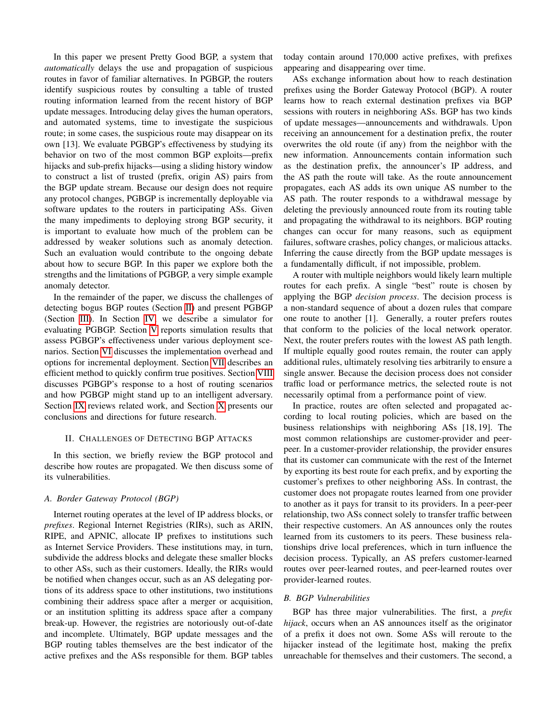In this paper we present Pretty Good BGP, a system that *automatically* delays the use and propagation of suspicious routes in favor of familiar alternatives. In PGBGP, the routers identify suspicious routes by consulting a table of trusted routing information learned from the recent history of BGP update messages. Introducing delay gives the human operators, and automated systems, time to investigate the suspicious route; in some cases, the suspicious route may disappear on its own [13]. We evaluate PGBGP's effectiveness by studying its behavior on two of the most common BGP exploits—prefix hijacks and sub-prefix hijacks—using a sliding history window to construct a list of trusted (prefix, origin AS) pairs from the BGP update stream. Because our design does not require any protocol changes, PGBGP is incrementally deployable via software updates to the routers in participating ASs. Given the many impediments to deploying strong BGP security, it is important to evaluate how much of the problem can be addressed by weaker solutions such as anomaly detection. Such an evaluation would contribute to the ongoing debate about how to secure BGP. In this paper we explore both the strengths and the limitations of PGBGP, a very simple example anomaly detector.

In the remainder of the paper, we discuss the challenges of detecting bogus BGP routes (Section [II\)](#page-1-0) and present PGBGP (Section [III\)](#page-2-0). In Section [IV,](#page-4-0) we describe a simulator for evaluating PGBGP. Section [V](#page-5-0) reports simulation results that assess PGBGP's effectiveness under various deployment scenarios. Section [VI](#page-7-0) discusses the implementation overhead and options for incremental deployment. Section [VII](#page-7-1) describes an efficient method to quickly confirm true positives. Section [VIII](#page-8-0) discusses PGBGP's response to a host of routing scenarios and how PGBGP might stand up to an intelligent adversary. Section [IX](#page-8-1) reviews related work, and Section [X](#page-9-0) presents our conclusions and directions for future research.

# <span id="page-1-0"></span>II. CHALLENGES OF DETECTING BGP ATTACKS

In this section, we briefly review the BGP protocol and describe how routes are propagated. We then discuss some of its vulnerabilities.

#### *A. Border Gateway Protocol (BGP)*

Internet routing operates at the level of IP address blocks, or *prefixes*. Regional Internet Registries (RIRs), such as ARIN, RIPE, and APNIC, allocate IP prefixes to institutions such as Internet Service Providers. These institutions may, in turn, subdivide the address blocks and delegate these smaller blocks to other ASs, such as their customers. Ideally, the RIRs would be notified when changes occur, such as an AS delegating portions of its address space to other institutions, two institutions combining their address space after a merger or acquisition, or an institution splitting its address space after a company break-up. However, the registries are notoriously out-of-date and incomplete. Ultimately, BGP update messages and the BGP routing tables themselves are the best indicator of the active prefixes and the ASs responsible for them. BGP tables today contain around 170,000 active prefixes, with prefixes appearing and disappearing over time.

ASs exchange information about how to reach destination prefixes using the Border Gateway Protocol (BGP). A router learns how to reach external destination prefixes via BGP sessions with routers in neighboring ASs. BGP has two kinds of update messages—announcements and withdrawals. Upon receiving an announcement for a destination prefix, the router overwrites the old route (if any) from the neighbor with the new information. Announcements contain information such as the destination prefix, the announcer's IP address, and the AS path the route will take. As the route announcement propagates, each AS adds its own unique AS number to the AS path. The router responds to a withdrawal message by deleting the previously announced route from its routing table and propagating the withdrawal to its neighbors. BGP routing changes can occur for many reasons, such as equipment failures, software crashes, policy changes, or malicious attacks. Inferring the cause directly from the BGP update messages is a fundamentally difficult, if not impossible, problem.

A router with multiple neighbors would likely learn multiple routes for each prefix. A single "best" route is chosen by applying the BGP *decision process*. The decision process is a non-standard sequence of about a dozen rules that compare one route to another [1]. Generally, a router prefers routes that conform to the policies of the local network operator. Next, the router prefers routes with the lowest AS path length. If multiple equally good routes remain, the router can apply additional rules, ultimately resolving ties arbitrarily to ensure a single answer. Because the decision process does not consider traffic load or performance metrics, the selected route is not necessarily optimal from a performance point of view.

In practice, routes are often selected and propagated according to local routing policies, which are based on the business relationships with neighboring ASs [18, 19]. The most common relationships are customer-provider and peerpeer. In a customer-provider relationship, the provider ensures that its customer can communicate with the rest of the Internet by exporting its best route for each prefix, and by exporting the customer's prefixes to other neighboring ASs. In contrast, the customer does not propagate routes learned from one provider to another as it pays for transit to its providers. In a peer-peer relationship, two ASs connect solely to transfer traffic between their respective customers. An AS announces only the routes learned from its customers to its peers. These business relationships drive local preferences, which in turn influence the decision process. Typically, an AS prefers customer-learned routes over peer-learned routes, and peer-learned routes over provider-learned routes.

#### *B. BGP Vulnerabilities*

BGP has three major vulnerabilities. The first, a *prefix hijack*, occurs when an AS announces itself as the originator of a prefix it does not own. Some ASs will reroute to the hijacker instead of the legitimate host, making the prefix unreachable for themselves and their customers. The second, a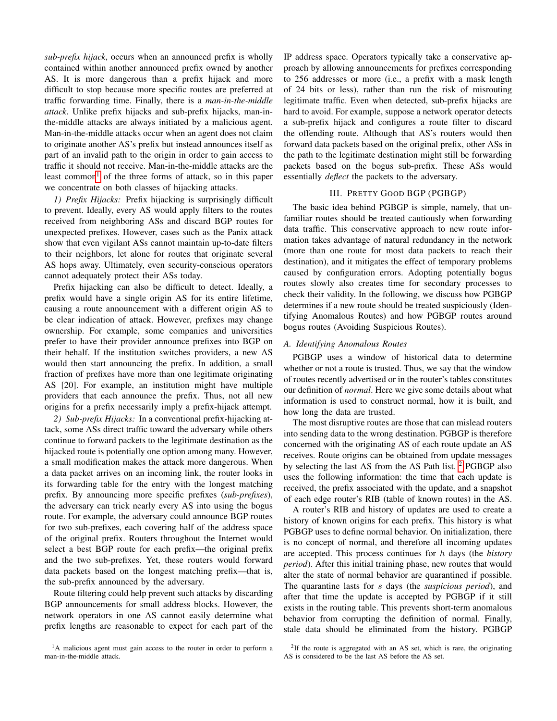*sub-prefix hijack*, occurs when an announced prefix is wholly contained within another announced prefix owned by another AS. It is more dangerous than a prefix hijack and more difficult to stop because more specific routes are preferred at traffic forwarding time. Finally, there is a *man-in-the-middle attack*. Unlike prefix hijacks and sub-prefix hijacks, man-inthe-middle attacks are always initiated by a malicious agent. Man-in-the-middle attacks occur when an agent does not claim to originate another AS's prefix but instead announces itself as part of an invalid path to the origin in order to gain access to traffic it should not receive. Man-in-the-middle attacks are the least common<sup>[1](#page-2-1)</sup> of the three forms of attack, so in this paper we concentrate on both classes of hijacking attacks.

*1) Prefix Hijacks:* Prefix hijacking is surprisingly difficult to prevent. Ideally, every AS would apply filters to the routes received from neighboring ASs and discard BGP routes for unexpected prefixes. However, cases such as the Panix attack show that even vigilant ASs cannot maintain up-to-date filters to their neighbors, let alone for routes that originate several AS hops away. Ultimately, even security-conscious operators cannot adequately protect their ASs today.

Prefix hijacking can also be difficult to detect. Ideally, a prefix would have a single origin AS for its entire lifetime, causing a route announcement with a different origin AS to be clear indication of attack. However, prefixes may change ownership. For example, some companies and universities prefer to have their provider announce prefixes into BGP on their behalf. If the institution switches providers, a new AS would then start announcing the prefix. In addition, a small fraction of prefixes have more than one legitimate originating AS [20]. For example, an institution might have multiple providers that each announce the prefix. Thus, not all new origins for a prefix necessarily imply a prefix-hijack attempt.

*2) Sub-prefix Hijacks:* In a conventional prefix-hijacking attack, some ASs direct traffic toward the adversary while others continue to forward packets to the legitimate destination as the hijacked route is potentially one option among many. However, a small modification makes the attack more dangerous. When a data packet arrives on an incoming link, the router looks in its forwarding table for the entry with the longest matching prefix. By announcing more specific prefixes (*sub-prefixes*), the adversary can trick nearly every AS into using the bogus route. For example, the adversary could announce BGP routes for two sub-prefixes, each covering half of the address space of the original prefix. Routers throughout the Internet would select a best BGP route for each prefix—the original prefix and the two sub-prefixes. Yet, these routers would forward data packets based on the longest matching prefix—that is, the sub-prefix announced by the adversary.

Route filtering could help prevent such attacks by discarding BGP announcements for small address blocks. However, the network operators in one AS cannot easily determine what prefix lengths are reasonable to expect for each part of the IP address space. Operators typically take a conservative approach by allowing announcements for prefixes corresponding to 256 addresses or more (i.e., a prefix with a mask length of 24 bits or less), rather than run the risk of misrouting legitimate traffic. Even when detected, sub-prefix hijacks are hard to avoid. For example, suppose a network operator detects a sub-prefix hijack and configures a route filter to discard the offending route. Although that AS's routers would then forward data packets based on the original prefix, other ASs in the path to the legitimate destination might still be forwarding packets based on the bogus sub-prefix. These ASs would essentially *deflect* the packets to the adversary.

# III. PRETTY GOOD BGP (PGBGP)

<span id="page-2-0"></span>The basic idea behind PGBGP is simple, namely, that unfamiliar routes should be treated cautiously when forwarding data traffic. This conservative approach to new route information takes advantage of natural redundancy in the network (more than one route for most data packets to reach their destination), and it mitigates the effect of temporary problems caused by configuration errors. Adopting potentially bogus routes slowly also creates time for secondary processes to check their validity. In the following, we discuss how PGBGP determines if a new route should be treated suspiciously (Identifying Anomalous Routes) and how PGBGP routes around bogus routes (Avoiding Suspicious Routes).

### <span id="page-2-3"></span>*A. Identifying Anomalous Routes*

PGBGP uses a window of historical data to determine whether or not a route is trusted. Thus, we say that the window of routes recently advertised or in the router's tables constitutes our definition of *normal*. Here we give some details about what information is used to construct normal, how it is built, and how long the data are trusted.

The most disruptive routes are those that can mislead routers into sending data to the wrong destination. PGBGP is therefore concerned with the originating AS of each route update an AS receives. Route origins can be obtained from update messages by selecting the last AS from the AS Path list. <sup>[2](#page-2-2)</sup> PGBGP also uses the following information: the time that each update is received, the prefix associated with the update, and a snapshot of each edge router's RIB (table of known routes) in the AS.

A router's RIB and history of updates are used to create a history of known origins for each prefix. This history is what PGBGP uses to define normal behavior. On initialization, there is no concept of normal, and therefore all incoming updates are accepted. This process continues for h days (the *history period*). After this initial training phase, new routes that would alter the state of normal behavior are quarantined if possible. The quarantine lasts for s days (the *suspicious period*), and after that time the update is accepted by PGBGP if it still exists in the routing table. This prevents short-term anomalous behavior from corrupting the definition of normal. Finally, stale data should be eliminated from the history. PGBGP

<span id="page-2-1"></span><sup>&</sup>lt;sup>1</sup>A malicious agent must gain access to the router in order to perform a man-in-the-middle attack.

<span id="page-2-2"></span> $2$ If the route is aggregated with an AS set, which is rare, the originating AS is considered to be the last AS before the AS set.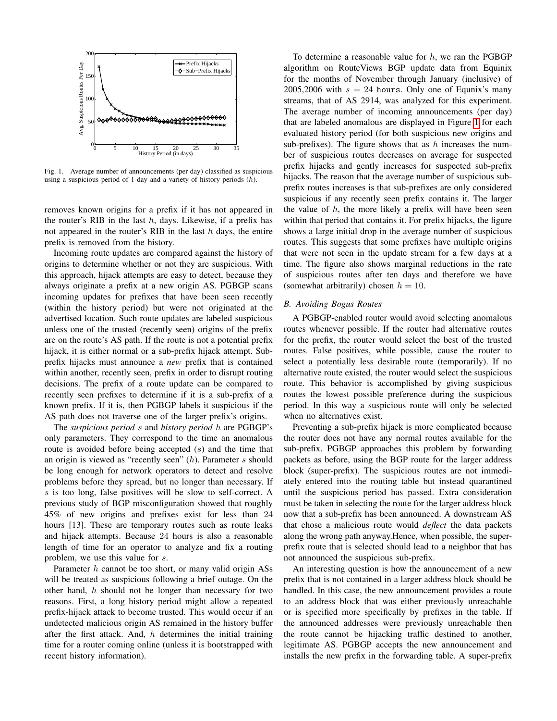

<span id="page-3-0"></span>Fig. 1. Average number of announcements (per day) classified as suspicious using a suspicious period of 1 day and a variety of history periods (h).

removes known origins for a prefix if it has not appeared in the router's RIB in the last  $h$ , days. Likewise, if a prefix has not appeared in the router's RIB in the last  $h$  days, the entire prefix is removed from the history.

Incoming route updates are compared against the history of origins to determine whether or not they are suspicious. With this approach, hijack attempts are easy to detect, because they always originate a prefix at a new origin AS. PGBGP scans incoming updates for prefixes that have been seen recently (within the history period) but were not originated at the advertised location. Such route updates are labeled suspicious unless one of the trusted (recently seen) origins of the prefix are on the route's AS path. If the route is not a potential prefix hijack, it is either normal or a sub-prefix hijack attempt. Subprefix hijacks must announce a *new* prefix that is contained within another, recently seen, prefix in order to disrupt routing decisions. The prefix of a route update can be compared to recently seen prefixes to determine if it is a sub-prefix of a known prefix. If it is, then PGBGP labels it suspicious if the AS path does not traverse one of the larger prefix's origins.

The *suspicious period* s and *history period* h are PGBGP's only parameters. They correspond to the time an anomalous route is avoided before being accepted (s) and the time that an origin is viewed as "recently seen"  $(h)$ . Parameter s should be long enough for network operators to detect and resolve problems before they spread, but no longer than necessary. If s is too long, false positives will be slow to self-correct. A previous study of BGP misconfiguration showed that roughly 45% of new origins and prefixes exist for less than 24 hours [13]. These are temporary routes such as route leaks and hijack attempts. Because 24 hours is also a reasonable length of time for an operator to analyze and fix a routing problem, we use this value for s.

Parameter  $h$  cannot be too short, or many valid origin ASs will be treated as suspicious following a brief outage. On the other hand, h should not be longer than necessary for two reasons. First, a long history period might allow a repeated prefix-hijack attack to become trusted. This would occur if an undetected malicious origin AS remained in the history buffer after the first attack. And,  $h$  determines the initial training time for a router coming online (unless it is bootstrapped with recent history information).

To determine a reasonable value for  $h$ , we ran the PGBGP algorithm on RouteViews BGP update data from Equinix for the months of November through January (inclusive) of 2005,2006 with  $s = 24$  hours. Only one of Equnix's many streams, that of AS 2914, was analyzed for this experiment. The average number of incoming announcements (per day) that are labeled anomalous are displayed in Figure [1](#page-3-0) for each evaluated history period (for both suspicious new origins and sub-prefixes). The figure shows that as  $h$  increases the number of suspicious routes decreases on average for suspected prefix hijacks and gently increases for suspected sub-prefix hijacks. The reason that the average number of suspicious subprefix routes increases is that sub-prefixes are only considered suspicious if any recently seen prefix contains it. The larger the value of  $h$ , the more likely a prefix will have been seen within that period that contains it. For prefix hijacks, the figure shows a large initial drop in the average number of suspicious routes. This suggests that some prefixes have multiple origins that were not seen in the update stream for a few days at a time. The figure also shows marginal reductions in the rate of suspicious routes after ten days and therefore we have (somewhat arbitrarily) chosen  $h = 10$ .

## <span id="page-3-1"></span>*B. Avoiding Bogus Routes*

A PGBGP-enabled router would avoid selecting anomalous routes whenever possible. If the router had alternative routes for the prefix, the router would select the best of the trusted routes. False positives, while possible, cause the router to select a potentially less desirable route (temporarily). If no alternative route existed, the router would select the suspicious route. This behavior is accomplished by giving suspicious routes the lowest possible preference during the suspicious period. In this way a suspicious route will only be selected when no alternatives exist.

Preventing a sub-prefix hijack is more complicated because the router does not have any normal routes available for the sub-prefix. PGBGP approaches this problem by forwarding packets as before, using the BGP route for the larger address block (super-prefix). The suspicious routes are not immediately entered into the routing table but instead quarantined until the suspicious period has passed. Extra consideration must be taken in selecting the route for the larger address block now that a sub-prefix has been announced. A downstream AS that chose a malicious route would *deflect* the data packets along the wrong path anyway.Hence, when possible, the superprefix route that is selected should lead to a neighbor that has not announced the suspicious sub-prefix.

An interesting question is how the announcement of a new prefix that is not contained in a larger address block should be handled. In this case, the new announcement provides a route to an address block that was either previously unreachable or is specified more specifically by prefixes in the table. If the announced addresses were previously unreachable then the route cannot be hijacking traffic destined to another, legitimate AS. PGBGP accepts the new announcement and installs the new prefix in the forwarding table. A super-prefix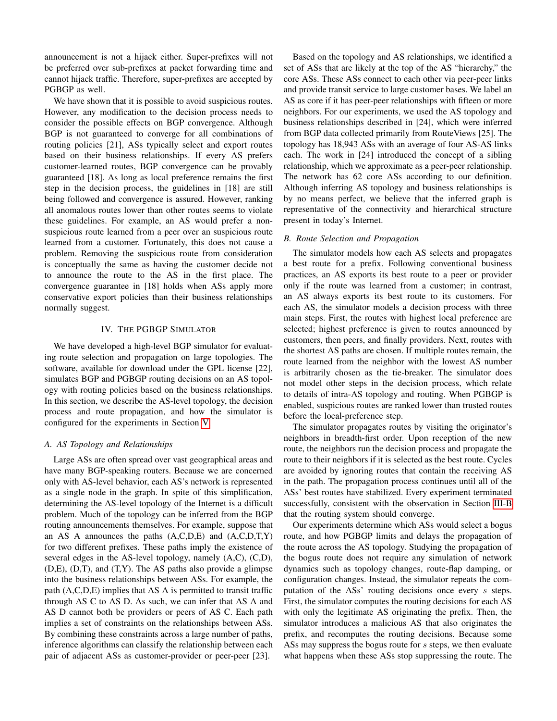announcement is not a hijack either. Super-prefixes will not be preferred over sub-prefixes at packet forwarding time and cannot hijack traffic. Therefore, super-prefixes are accepted by PGBGP as well.

We have shown that it is possible to avoid suspicious routes. However, any modification to the decision process needs to consider the possible effects on BGP convergence. Although BGP is not guaranteed to converge for all combinations of routing policies [21], ASs typically select and export routes based on their business relationships. If every AS prefers customer-learned routes, BGP convergence can be provably guaranteed [18]. As long as local preference remains the first step in the decision process, the guidelines in [18] are still being followed and convergence is assured. However, ranking all anomalous routes lower than other routes seems to violate these guidelines. For example, an AS would prefer a nonsuspicious route learned from a peer over an suspicious route learned from a customer. Fortunately, this does not cause a problem. Removing the suspicious route from consideration is conceptually the same as having the customer decide not to announce the route to the AS in the first place. The convergence guarantee in [18] holds when ASs apply more conservative export policies than their business relationships normally suggest.

# IV. THE PGBGP SIMULATOR

<span id="page-4-0"></span>We have developed a high-level BGP simulator for evaluating route selection and propagation on large topologies. The software, available for download under the GPL license [22], simulates BGP and PGBGP routing decisions on an AS topology with routing policies based on the business relationships. In this section, we describe the AS-level topology, the decision process and route propagation, and how the simulator is configured for the experiments in Section [V.](#page-5-0)

# *A. AS Topology and Relationships*

Large ASs are often spread over vast geographical areas and have many BGP-speaking routers. Because we are concerned only with AS-level behavior, each AS's network is represented as a single node in the graph. In spite of this simplification, determining the AS-level topology of the Internet is a difficult problem. Much of the topology can be inferred from the BGP routing announcements themselves. For example, suppose that an AS A announces the paths (A,C,D,E) and (A,C,D,T,Y) for two different prefixes. These paths imply the existence of several edges in the AS-level topology, namely (A,C), (C,D), (D,E), (D,T), and (T,Y). The AS paths also provide a glimpse into the business relationships between ASs. For example, the path (A,C,D,E) implies that AS A is permitted to transit traffic through AS C to AS D. As such, we can infer that AS A and AS D cannot both be providers or peers of AS C. Each path implies a set of constraints on the relationships between ASs. By combining these constraints across a large number of paths, inference algorithms can classify the relationship between each pair of adjacent ASs as customer-provider or peer-peer [23].

Based on the topology and AS relationships, we identified a set of ASs that are likely at the top of the AS "hierarchy," the core ASs. These ASs connect to each other via peer-peer links and provide transit service to large customer bases. We label an AS as core if it has peer-peer relationships with fifteen or more neighbors. For our experiments, we used the AS topology and business relationships described in [24], which were inferred from BGP data collected primarily from RouteViews [25]. The topology has 18,943 ASs with an average of four AS-AS links each. The work in [24] introduced the concept of a sibling relationship, which we approximate as a peer-peer relationship. The network has 62 core ASs according to our definition. Although inferring AS topology and business relationships is by no means perfect, we believe that the inferred graph is representative of the connectivity and hierarchical structure present in today's Internet.

# *B. Route Selection and Propagation*

The simulator models how each AS selects and propagates a best route for a prefix. Following conventional business practices, an AS exports its best route to a peer or provider only if the route was learned from a customer; in contrast, an AS always exports its best route to its customers. For each AS, the simulator models a decision process with three main steps. First, the routes with highest local preference are selected; highest preference is given to routes announced by customers, then peers, and finally providers. Next, routes with the shortest AS paths are chosen. If multiple routes remain, the route learned from the neighbor with the lowest AS number is arbitrarily chosen as the tie-breaker. The simulator does not model other steps in the decision process, which relate to details of intra-AS topology and routing. When PGBGP is enabled, suspicious routes are ranked lower than trusted routes before the local-preference step.

The simulator propagates routes by visiting the originator's neighbors in breadth-first order. Upon reception of the new route, the neighbors run the decision process and propagate the route to their neighbors if it is selected as the best route. Cycles are avoided by ignoring routes that contain the receiving AS in the path. The propagation process continues until all of the ASs' best routes have stabilized. Every experiment terminated successfully, consistent with the observation in Section [III-B](#page-3-1) that the routing system should converge.

Our experiments determine which ASs would select a bogus route, and how PGBGP limits and delays the propagation of the route across the AS topology. Studying the propagation of the bogus route does not require any simulation of network dynamics such as topology changes, route-flap damping, or configuration changes. Instead, the simulator repeats the computation of the ASs' routing decisions once every s steps. First, the simulator computes the routing decisions for each AS with only the legitimate AS originating the prefix. Then, the simulator introduces a malicious AS that also originates the prefix, and recomputes the routing decisions. Because some ASs may suppress the bogus route for s steps, we then evaluate what happens when these ASs stop suppressing the route. The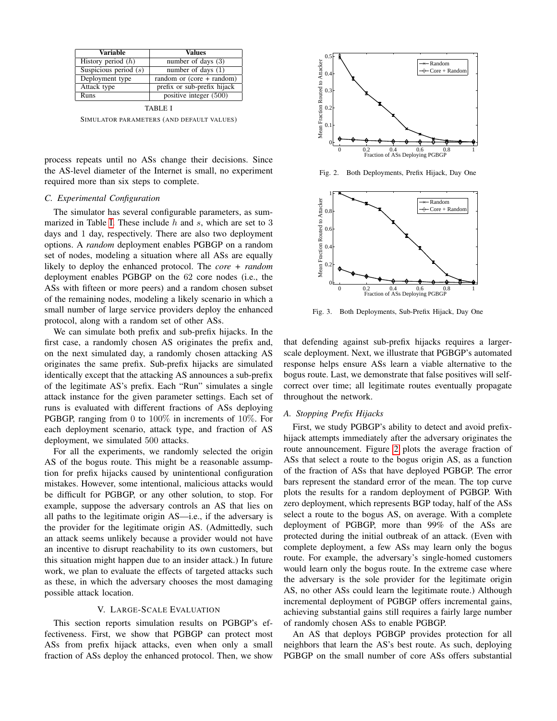| Variable                | Values                      |
|-------------------------|-----------------------------|
| History period $(h)$    | number of days $(3)$        |
| Suspicious period $(s)$ | number of days $(1)$        |
| Deployment type         | random or (core + random)   |
| Attack type             | prefix or sub-prefix hijack |
| Runs                    | positive integer (500)      |

<span id="page-5-1"></span>TABLE I SIMULATOR PARAMETERS (AND DEFAULT VALUES)

process repeats until no ASs change their decisions. Since the AS-level diameter of the Internet is small, no experiment required more than six steps to complete.

### *C. Experimental Configuration*

The simulator has several configurable parameters, as sum-marized in Table [I.](#page-5-1) These include  $h$  and  $s$ , which are set to 3 days and 1 day, respectively. There are also two deployment options. A *random* deployment enables PGBGP on a random set of nodes, modeling a situation where all ASs are equally likely to deploy the enhanced protocol. The *core + random* deployment enables PGBGP on the 62 core nodes (i.e., the ASs with fifteen or more peers) and a random chosen subset of the remaining nodes, modeling a likely scenario in which a small number of large service providers deploy the enhanced protocol, along with a random set of other ASs.

We can simulate both prefix and sub-prefix hijacks. In the first case, a randomly chosen AS originates the prefix and, on the next simulated day, a randomly chosen attacking AS originates the same prefix. Sub-prefix hijacks are simulated identically except that the attacking AS announces a sub-prefix of the legitimate AS's prefix. Each "Run" simulates a single attack instance for the given parameter settings. Each set of runs is evaluated with different fractions of ASs deploying PGBGP, ranging from 0 to 100% in increments of 10%. For each deployment scenario, attack type, and fraction of AS deployment, we simulated 500 attacks.

For all the experiments, we randomly selected the origin AS of the bogus route. This might be a reasonable assumption for prefix hijacks caused by unintentional configuration mistakes. However, some intentional, malicious attacks would be difficult for PGBGP, or any other solution, to stop. For example, suppose the adversary controls an AS that lies on all paths to the legitimate origin AS—i.e., if the adversary is the provider for the legitimate origin AS. (Admittedly, such an attack seems unlikely because a provider would not have an incentive to disrupt reachability to its own customers, but this situation might happen due to an insider attack.) In future work, we plan to evaluate the effects of targeted attacks such as these, in which the adversary chooses the most damaging possible attack location.

#### V. LARGE-SCALE EVALUATION

<span id="page-5-0"></span>This section reports simulation results on PGBGP's effectiveness. First, we show that PGBGP can protect most ASs from prefix hijack attacks, even when only a small fraction of ASs deploy the enhanced protocol. Then, we show



<span id="page-5-2"></span>Fig. 2. Both Deployments, Prefix Hijack, Day One



<span id="page-5-3"></span>Fig. 3. Both Deployments, Sub-Prefix Hijack, Day One

that defending against sub-prefix hijacks requires a largerscale deployment. Next, we illustrate that PGBGP's automated response helps ensure ASs learn a viable alternative to the bogus route. Last, we demonstrate that false positives will selfcorrect over time; all legitimate routes eventually propagate throughout the network.

## *A. Stopping Prefix Hijacks*

First, we study PGBGP's ability to detect and avoid prefixhijack attempts immediately after the adversary originates the route announcement. Figure [2](#page-5-2) plots the average fraction of ASs that select a route to the bogus origin AS, as a function of the fraction of ASs that have deployed PGBGP. The error bars represent the standard error of the mean. The top curve plots the results for a random deployment of PGBGP. With zero deployment, which represents BGP today, half of the ASs select a route to the bogus AS, on average. With a complete deployment of PGBGP, more than 99% of the ASs are protected during the initial outbreak of an attack. (Even with complete deployment, a few ASs may learn only the bogus route. For example, the adversary's single-homed customers would learn only the bogus route. In the extreme case where the adversary is the sole provider for the legitimate origin AS, no other ASs could learn the legitimate route.) Although incremental deployment of PGBGP offers incremental gains, achieving substantial gains still requires a fairly large number of randomly chosen ASs to enable PGBGP.

An AS that deploys PGBGP provides protection for all neighbors that learn the AS's best route. As such, deploying PGBGP on the small number of core ASs offers substantial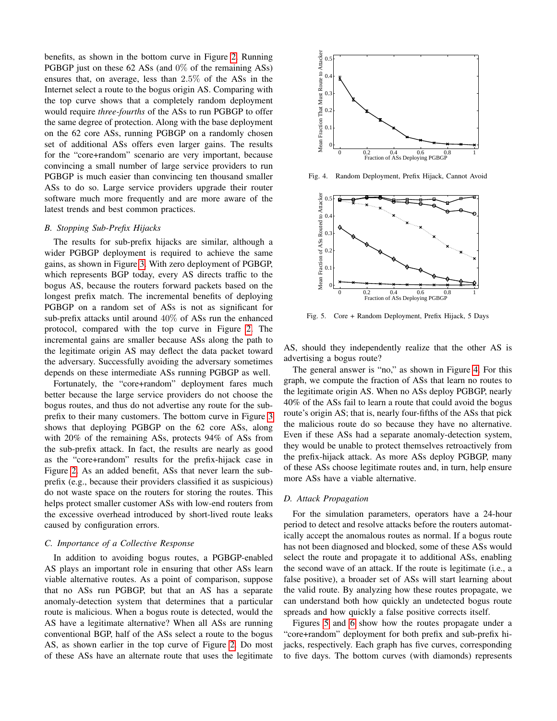benefits, as shown in the bottom curve in Figure [2.](#page-5-2) Running PGBGP just on these 62 ASs (and 0% of the remaining ASs) ensures that, on average, less than 2.5% of the ASs in the Internet select a route to the bogus origin AS. Comparing with the top curve shows that a completely random deployment would require *three-fourths* of the ASs to run PGBGP to offer the same degree of protection. Along with the base deployment on the 62 core ASs, running PGBGP on a randomly chosen set of additional ASs offers even larger gains. The results for the "core+random" scenario are very important, because convincing a small number of large service providers to run PGBGP is much easier than convincing ten thousand smaller ASs to do so. Large service providers upgrade their router software much more frequently and are more aware of the latest trends and best common practices.

#### *B. Stopping Sub-Prefix Hijacks*

The results for sub-prefix hijacks are similar, although a wider PGBGP deployment is required to achieve the same gains, as shown in Figure [3.](#page-5-3) With zero deployment of PGBGP, which represents BGP today, every AS directs traffic to the bogus AS, because the routers forward packets based on the longest prefix match. The incremental benefits of deploying PGBGP on a random set of ASs is not as significant for sub-prefix attacks until around 40% of ASs run the enhanced protocol, compared with the top curve in Figure [2.](#page-5-2) The incremental gains are smaller because ASs along the path to the legitimate origin AS may deflect the data packet toward the adversary. Successfully avoiding the adversary sometimes depends on these intermediate ASs running PGBGP as well.

Fortunately, the "core+random" deployment fares much better because the large service providers do not choose the bogus routes, and thus do not advertise any route for the subprefix to their many customers. The bottom curve in Figure [3](#page-5-3) shows that deploying PGBGP on the 62 core ASs, along with 20% of the remaining ASs, protects 94% of ASs from the sub-prefix attack. In fact, the results are nearly as good as the "core+random" results for the prefix-hijack case in Figure [2.](#page-5-2) As an added benefit, ASs that never learn the subprefix (e.g., because their providers classified it as suspicious) do not waste space on the routers for storing the routes. This helps protect smaller customer ASs with low-end routers from the excessive overhead introduced by short-lived route leaks caused by configuration errors.

# *C. Importance of a Collective Response*

In addition to avoiding bogus routes, a PGBGP-enabled AS plays an important role in ensuring that other ASs learn viable alternative routes. As a point of comparison, suppose that no ASs run PGBGP, but that an AS has a separate anomaly-detection system that determines that a particular route is malicious. When a bogus route is detected, would the AS have a legitimate alternative? When all ASs are running conventional BGP, half of the ASs select a route to the bogus AS, as shown earlier in the top curve of Figure [2.](#page-5-2) Do most of these ASs have an alternate route that uses the legitimate



<span id="page-6-0"></span>Fig. 4. Random Deployment, Prefix Hijack, Cannot Avoid



<span id="page-6-1"></span>Fig. 5. Core + Random Deployment, Prefix Hijack, 5 Days

AS, should they independently realize that the other AS is advertising a bogus route?

The general answer is "no," as shown in Figure [4.](#page-6-0) For this graph, we compute the fraction of ASs that learn no routes to the legitimate origin AS. When no ASs deploy PGBGP, nearly 40% of the ASs fail to learn a route that could avoid the bogus route's origin AS; that is, nearly four-fifths of the ASs that pick the malicious route do so because they have no alternative. Even if these ASs had a separate anomaly-detection system, they would be unable to protect themselves retroactively from the prefix-hijack attack. As more ASs deploy PGBGP, many of these ASs choose legitimate routes and, in turn, help ensure more ASs have a viable alternative.

# *D. Attack Propagation*

For the simulation parameters, operators have a 24-hour period to detect and resolve attacks before the routers automatically accept the anomalous routes as normal. If a bogus route has not been diagnosed and blocked, some of these ASs would select the route and propagate it to additional ASs, enabling the second wave of an attack. If the route is legitimate (i.e., a false positive), a broader set of ASs will start learning about the valid route. By analyzing how these routes propagate, we can understand both how quickly an undetected bogus route spreads and how quickly a false positive corrects itself.

Figures [5](#page-6-1) and [6](#page-7-2) show how the routes propagate under a "core+random" deployment for both prefix and sub-prefix hijacks, respectively. Each graph has five curves, corresponding to five days. The bottom curves (with diamonds) represents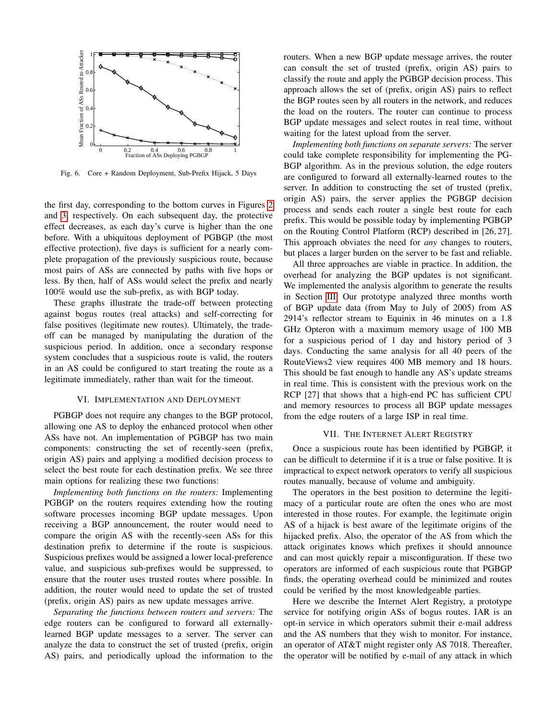

<span id="page-7-2"></span>Fig. 6. Core + Random Deployment, Sub-Prefix Hijack, 5 Days

the first day, corresponding to the bottom curves in Figures [2](#page-5-2) and [3,](#page-5-3) respectively. On each subsequent day, the protective effect decreases, as each day's curve is higher than the one before. With a ubiquitous deployment of PGBGP (the most effective protection), five days is sufficient for a nearly complete propagation of the previously suspicious route, because most pairs of ASs are connected by paths with five hops or less. By then, half of ASs would select the prefix and nearly 100% would use the sub-prefix, as with BGP today.

These graphs illustrate the trade-off between protecting against bogus routes (real attacks) and self-correcting for false positives (legitimate new routes). Ultimately, the tradeoff can be managed by manipulating the duration of the suspicious period. In addition, once a secondary response system concludes that a suspicious route is valid, the routers in an AS could be configured to start treating the route as a legitimate immediately, rather than wait for the timeout.

# VI. IMPLEMENTATION AND DEPLOYMENT

<span id="page-7-0"></span>PGBGP does not require any changes to the BGP protocol, allowing one AS to deploy the enhanced protocol when other ASs have not. An implementation of PGBGP has two main components: constructing the set of recently-seen (prefix, origin AS) pairs and applying a modified decision process to select the best route for each destination prefix. We see three main options for realizing these two functions:

*Implementing both functions on the routers:* Implementing PGBGP on the routers requires extending how the routing software processes incoming BGP update messages. Upon receiving a BGP announcement, the router would need to compare the origin AS with the recently-seen ASs for this destination prefix to determine if the route is suspicious. Suspicious prefixes would be assigned a lower local-preference value, and suspicious sub-prefixes would be suppressed, to ensure that the router uses trusted routes where possible. In addition, the router would need to update the set of trusted (prefix, origin AS) pairs as new update messages arrive.

*Separating the functions between routers and servers:* The edge routers can be configured to forward all externallylearned BGP update messages to a server. The server can analyze the data to construct the set of trusted (prefix, origin AS) pairs, and periodically upload the information to the routers. When a new BGP update message arrives, the router can consult the set of trusted (prefix, origin AS) pairs to classify the route and apply the PGBGP decision process. This approach allows the set of (prefix, origin AS) pairs to reflect the BGP routes seen by all routers in the network, and reduces the load on the routers. The router can continue to process BGP update messages and select routes in real time, without waiting for the latest upload from the server.

*Implementing both functions on separate servers:* The server could take complete responsibility for implementing the PG-BGP algorithm. As in the previous solution, the edge routers are configured to forward all externally-learned routes to the server. In addition to constructing the set of trusted (prefix, origin AS) pairs, the server applies the PGBGP decision process and sends each router a single best route for each prefix. This would be possible today by implementing PGBGP on the Routing Control Platform (RCP) described in [26, 27]. This approach obviates the need for *any* changes to routers, but places a larger burden on the server to be fast and reliable.

All three approaches are viable in practice. In addition, the overhead for analyzing the BGP updates is not significant. We implemented the analysis algorithm to generate the results in Section [III.](#page-2-0) Our prototype analyzed three months worth of BGP update data (from May to July of 2005) from AS 2914's reflector stream to Equinix in 46 minutes on a 1.8 GHz Opteron with a maximum memory usage of 100 MB for a suspicious period of 1 day and history period of 3 days. Conducting the same analysis for all 40 peers of the RouteViews2 view requires 400 MB memory and 18 hours. This should be fast enough to handle any AS's update streams in real time. This is consistent with the previous work on the RCP [27] that shows that a high-end PC has sufficient CPU and memory resources to process all BGP update messages from the edge routers of a large ISP in real time.

# VII. THE INTERNET ALERT REGISTRY

<span id="page-7-1"></span>Once a suspicious route has been identified by PGBGP, it can be difficult to determine if it is a true or false positive. It is impractical to expect network operators to verify all suspicious routes manually, because of volume and ambiguity.

The operators in the best position to determine the legitimacy of a particular route are often the ones who are most interested in those routes. For example, the legitimate origin AS of a hijack is best aware of the legitimate origins of the hijacked prefix. Also, the operator of the AS from which the attack originates knows which prefixes it should announce and can most quickly repair a misconfiguration. If these two operators are informed of each suspicious route that PGBGP finds, the operating overhead could be minimized and routes could be verified by the most knowledgeable parties.

Here we describe the Internet Alert Registry, a prototype service for notifying origin ASs of bogus routes. IAR is an opt-in service in which operators submit their e-mail address and the AS numbers that they wish to monitor. For instance, an operator of AT&T might register only AS 7018. Thereafter, the operator will be notified by e-mail of any attack in which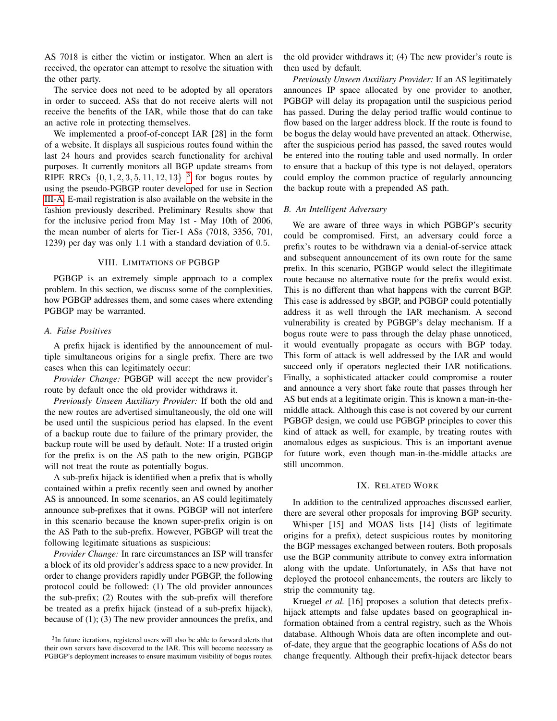AS 7018 is either the victim or instigator. When an alert is received, the operator can attempt to resolve the situation with the other party.

The service does not need to be adopted by all operators in order to succeed. ASs that do not receive alerts will not receive the benefits of the IAR, while those that do can take an active role in protecting themselves.

We implemented a proof-of-concept IAR [28] in the form of a website. It displays all suspicious routes found within the last 24 hours and provides search functionality for archival purposes. It currently monitors all BGP update streams from RIPE RRCs  $\{0, 1, 2, 3, 5, 11, 12, 13\}$  $\{0, 1, 2, 3, 5, 11, 12, 13\}$  $\{0, 1, 2, 3, 5, 11, 12, 13\}$ <sup>3</sup> for bogus routes by using the pseudo-PGBGP router developed for use in Section [III-A.](#page-2-3) E-mail registration is also available on the website in the fashion previously described. Preliminary Results show that for the inclusive period from May 1st - May 10th of 2006, the mean number of alerts for Tier-1 ASs (7018, 3356, 701, 1239) per day was only 1.1 with a standard deviation of 0.5.

# VIII. LIMITATIONS OF PGBGP

<span id="page-8-0"></span>PGBGP is an extremely simple approach to a complex problem. In this section, we discuss some of the complexities, how PGBGP addresses them, and some cases where extending PGBGP may be warranted.

#### *A. False Positives*

A prefix hijack is identified by the announcement of multiple simultaneous origins for a single prefix. There are two cases when this can legitimately occur:

*Provider Change:* PGBGP will accept the new provider's route by default once the old provider withdraws it.

*Previously Unseen Auxiliary Provider:* If both the old and the new routes are advertised simultaneously, the old one will be used until the suspicious period has elapsed. In the event of a backup route due to failure of the primary provider, the backup route will be used by default. Note: If a trusted origin for the prefix is on the AS path to the new origin, PGBGP will not treat the route as potentially bogus.

A sub-prefix hijack is identified when a prefix that is wholly contained within a prefix recently seen and owned by another AS is announced. In some scenarios, an AS could legitimately announce sub-prefixes that it owns. PGBGP will not interfere in this scenario because the known super-prefix origin is on the AS Path to the sub-prefix. However, PGBGP will treat the following legitimate situations as suspicious:

*Provider Change:* In rare circumstances an ISP will transfer a block of its old provider's address space to a new provider. In order to change providers rapidly under PGBGP, the following protocol could be followed: (1) The old provider announces the sub-prefix; (2) Routes with the sub-prefix will therefore be treated as a prefix hijack (instead of a sub-prefix hijack), because of (1); (3) The new provider announces the prefix, and the old provider withdraws it; (4) The new provider's route is then used by default.

*Previously Unseen Auxiliary Provider:* If an AS legitimately announces IP space allocated by one provider to another, PGBGP will delay its propagation until the suspicious period has passed. During the delay period traffic would continue to flow based on the larger address block. If the route is found to be bogus the delay would have prevented an attack. Otherwise, after the suspicious period has passed, the saved routes would be entered into the routing table and used normally. In order to ensure that a backup of this type is not delayed, operators could employ the common practice of regularly announcing the backup route with a prepended AS path.

### *B. An Intelligent Adversary*

We are aware of three ways in which PGBGP's security could be compromised. First, an adversary could force a prefix's routes to be withdrawn via a denial-of-service attack and subsequent announcement of its own route for the same prefix. In this scenario, PGBGP would select the illegitimate route because no alternative route for the prefix would exist. This is no different than what happens with the current BGP. This case is addressed by sBGP, and PGBGP could potentially address it as well through the IAR mechanism. A second vulnerability is created by PGBGP's delay mechanism. If a bogus route were to pass through the delay phase unnoticed, it would eventually propagate as occurs with BGP today. This form of attack is well addressed by the IAR and would succeed only if operators neglected their IAR notifications. Finally, a sophisticated attacker could compromise a router and announce a very short fake route that passes through her AS but ends at a legitimate origin. This is known a man-in-themiddle attack. Although this case is not covered by our current PGBGP design, we could use PGBGP principles to cover this kind of attack as well, for example, by treating routes with anomalous edges as suspicious. This is an important avenue for future work, even though man-in-the-middle attacks are still uncommon.

## IX. RELATED WORK

<span id="page-8-1"></span>In addition to the centralized approaches discussed earlier, there are several other proposals for improving BGP security.

Whisper [15] and MOAS lists [14] (lists of legitimate origins for a prefix), detect suspicious routes by monitoring the BGP messages exchanged between routers. Both proposals use the BGP community attribute to convey extra information along with the update. Unfortunately, in ASs that have not deployed the protocol enhancements, the routers are likely to strip the community tag.

Kruegel *et al.* [16] proposes a solution that detects prefixhijack attempts and false updates based on geographical information obtained from a central registry, such as the Whois database. Although Whois data are often incomplete and outof-date, they argue that the geographic locations of ASs do not change frequently. Although their prefix-hijack detector bears

<span id="page-8-2"></span><sup>&</sup>lt;sup>3</sup>In future iterations, registered users will also be able to forward alerts that their own servers have discovered to the IAR. This will become necessary as PGBGP's deployment increases to ensure maximum visibility of bogus routes.